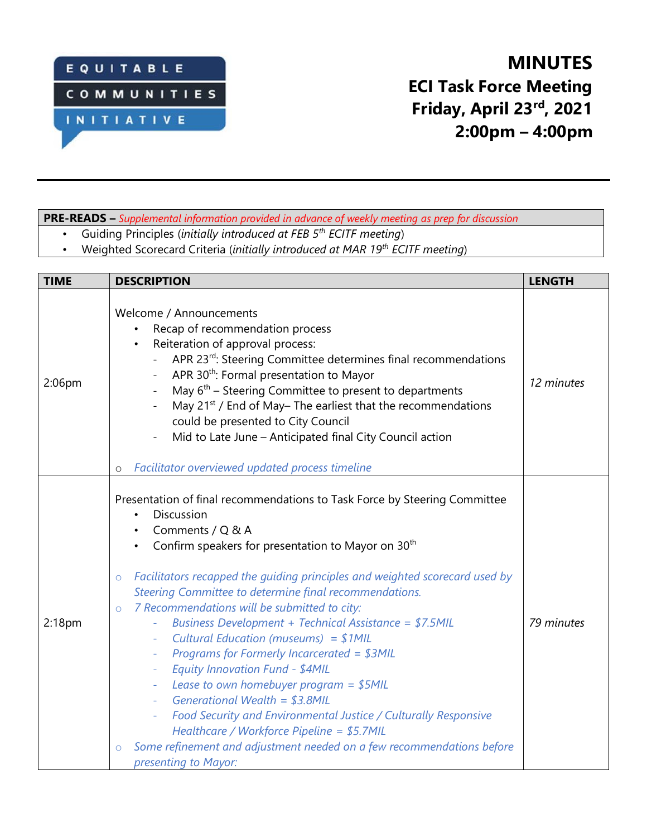

## **MINUTES ECI Task Force Meeting Friday, April 23rd , 2021 2:00pm – 4:00pm**

### **PRE-READS –** *Supplemental information provided in advance of weekly meeting as prep for discussion*

- Guiding Principles (*initially introduced at FEB 5th ECITF meeting*)
- Weighted Scorecard Criteria (*initially introduced at MAR 19th ECITF meeting*)

| <b>TIME</b>        | <b>DESCRIPTION</b>                                                                                                                                                                                                                                                                                                                                                                                                                                                                                                                                                                                                                                                                                                                                                                                                                                                                                                                              | <b>LENGTH</b> |
|--------------------|-------------------------------------------------------------------------------------------------------------------------------------------------------------------------------------------------------------------------------------------------------------------------------------------------------------------------------------------------------------------------------------------------------------------------------------------------------------------------------------------------------------------------------------------------------------------------------------------------------------------------------------------------------------------------------------------------------------------------------------------------------------------------------------------------------------------------------------------------------------------------------------------------------------------------------------------------|---------------|
| 2:06pm             | Welcome / Announcements<br>Recap of recommendation process<br>Reiteration of approval process:<br>APR 23rd: Steering Committee determines final recommendations<br>APR 30 <sup>th</sup> : Formal presentation to Mayor<br>May 6 <sup>th</sup> – Steering Committee to present to departments<br>$\overline{\phantom{a}}$<br>May 21 <sup>st</sup> / End of May-The earliest that the recommendations<br>$\overline{\phantom{a}}$<br>could be presented to City Council<br>Mid to Late June - Anticipated final City Council action<br>Facilitator overviewed updated process timeline<br>$\circ$                                                                                                                                                                                                                                                                                                                                                 | 12 minutes    |
| 2:18 <sub>pm</sub> | Presentation of final recommendations to Task Force by Steering Committee<br>Discussion<br>$\bullet$<br>Comments / Q & A<br>Confirm speakers for presentation to Mayor on 30 <sup>th</sup><br>Facilitators recapped the guiding principles and weighted scorecard used by<br>$\circ$<br>Steering Committee to determine final recommendations.<br>7 Recommendations will be submitted to city:<br>$\circ$<br>Business Development + Technical Assistance = \$7.5MIL<br>Cultural Education (museums) = $$1MIL$<br>Programs for Formerly Incarcerated = \$3MIL<br>Equity Innovation Fund - \$4MIL<br>$\bar{\mathcal{L}}$<br>Lease to own homebuyer program = $$5MIL$<br>$\equiv$<br>Generational Wealth = $$3.8$ MIL<br>Food Security and Environmental Justice / Culturally Responsive<br>Healthcare / Workforce Pipeline = \$5.7MIL<br>Some refinement and adjustment needed on a few recommendations before<br>$\circ$<br>presenting to Mayor: | 79 minutes    |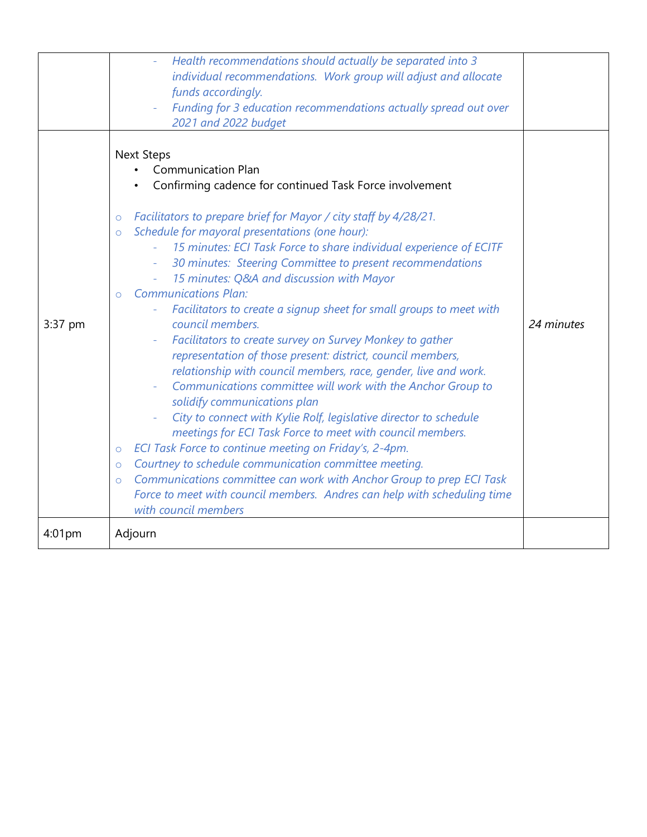|         | Health recommendations should actually be separated into 3<br>individual recommendations. Work group will adjust and allocate<br>funds accordingly.<br>Funding for 3 education recommendations actually spread out over<br>2021 and 2022 budget                                                                                                                                                                                                                                                                                                                                                                                                                                                                                                                                                                                                                                                                                                                                                                                                                                                                                                                                                                                                                                                                                                        |            |
|---------|--------------------------------------------------------------------------------------------------------------------------------------------------------------------------------------------------------------------------------------------------------------------------------------------------------------------------------------------------------------------------------------------------------------------------------------------------------------------------------------------------------------------------------------------------------------------------------------------------------------------------------------------------------------------------------------------------------------------------------------------------------------------------------------------------------------------------------------------------------------------------------------------------------------------------------------------------------------------------------------------------------------------------------------------------------------------------------------------------------------------------------------------------------------------------------------------------------------------------------------------------------------------------------------------------------------------------------------------------------|------------|
| 3:37 pm | <b>Next Steps</b><br><b>Communication Plan</b><br>Confirming cadence for continued Task Force involvement<br>Facilitators to prepare brief for Mayor / city staff by 4/28/21.<br>$\circ$<br>Schedule for mayoral presentations (one hour):<br>$\circ$<br>15 minutes: ECI Task Force to share individual experience of ECITF<br>30 minutes: Steering Committee to present recommendations<br>15 minutes: Q&A and discussion with Mayor<br>$\equiv$<br><b>Communications Plan:</b><br>$\Omega$<br>Facilitators to create a signup sheet for small groups to meet with<br>council members.<br>Facilitators to create survey on Survey Monkey to gather<br>representation of those present: district, council members,<br>relationship with council members, race, gender, live and work.<br>Communications committee will work with the Anchor Group to<br>solidify communications plan<br>City to connect with Kylie Rolf, legislative director to schedule<br>meetings for ECI Task Force to meet with council members.<br>ECI Task Force to continue meeting on Friday's, 2-4pm.<br>$\circ$<br>Courtney to schedule communication committee meeting.<br>$\circ$<br>Communications committee can work with Anchor Group to prep ECI Task<br>$\circ$<br>Force to meet with council members. Andres can help with scheduling time<br>with council members | 24 minutes |
| 4:01pm  | Adjourn                                                                                                                                                                                                                                                                                                                                                                                                                                                                                                                                                                                                                                                                                                                                                                                                                                                                                                                                                                                                                                                                                                                                                                                                                                                                                                                                                |            |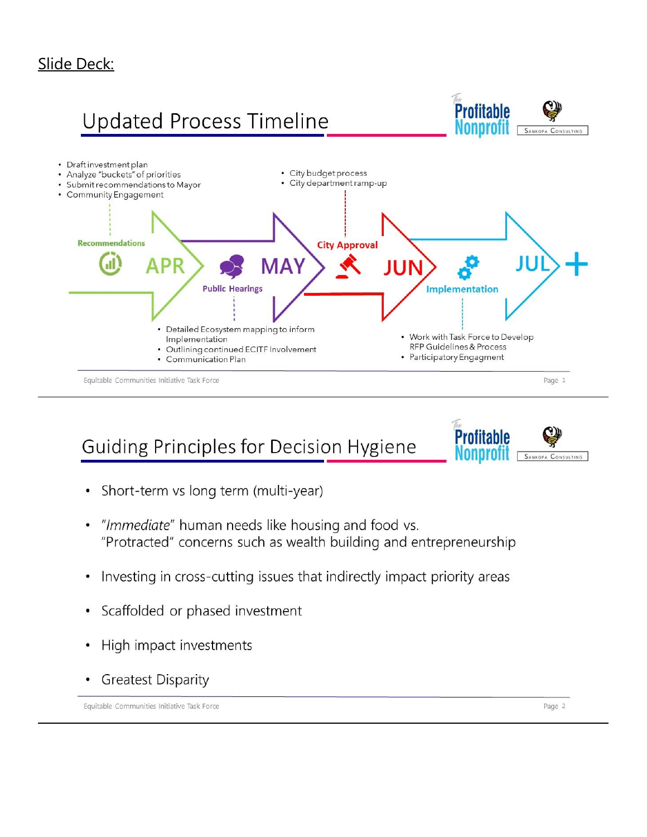### Slide Deck:



**Guiding Principles for Decision Hygiene** 



- Short-term vs long term (multi-year)
- "Immediate" human needs like housing and food vs. "Protracted" concerns such as wealth building and entrepreneurship
- Investing in cross-cutting issues that indirectly impact priority areas
- Scaffolded or phased investment
- High impact investments
- **Greatest Disparity**

Equitable Communities Initiative Task Force